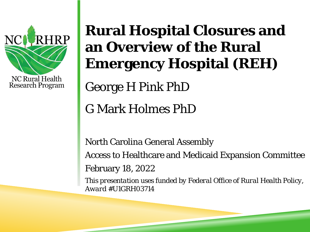

# **Rural Hospital Closures and an Overview of the Rural Emergency Hospital (REH)**

George H Pink PhD

G Mark Holmes PhD

North Carolina General Assembly Access to Healthcare and Medicaid Expansion Committee February 18, 2022

*This presentation uses funded by Federal Office of Rural Health Policy, Award #U1GRH03714*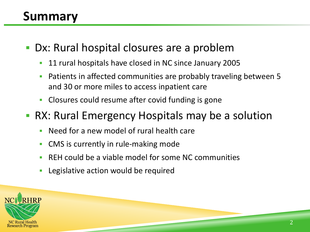## **Summary**

- Dx: Rural hospital closures are a problem
	- 11 rural hospitals have closed in NC since January 2005
	- Patients in affected communities are probably traveling between 5 and 30 or more miles to access inpatient care
	- **Closures could resume after covid funding is gone**
- RX: Rural Emergency Hospitals may be a solution
	- Need for a new model of rural health care
	- **CMS** is currently in rule-making mode
	- REH could be a viable model for some NC communities
	- Legislative action would be required

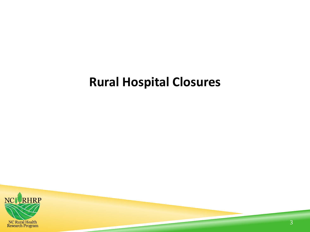### **Rural Hospital Closures**

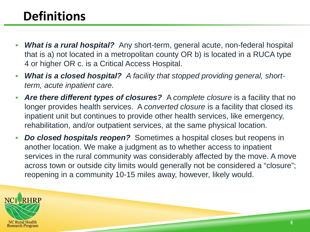## **Definitions**

- *What is a rural hospital?* Any short-term, general acute, non-federal hospital that is a) not located in a metropolitan county OR b) is located in a RUCA type 4 or higher OR c. is a Critical Access Hospital.
- *What is a closed hospital? A facility that stopped providing general, shortterm, acute inpatient care.*
- **Are there different types of closures?** A complete closure is a facility that no longer provides health services. A *converted closure* is a facility that closed its inpatient unit but continues to provide other health services, like emergency, rehabilitation, and/or outpatient services, at the same physical location.
- *Do closed hospitals reopen?* Sometimes a hospital closes but reopens in another location. We make a judgment as to whether access to inpatient services in the rural community was considerably affected by the move. A move across town or outside city limits would generally not be considered a "closure"; reopening in a community 10-15 miles away, however, likely would.

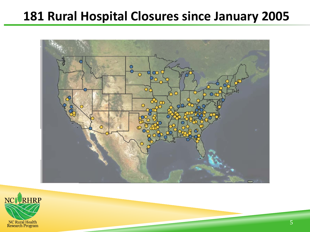### **181 Rural Hospital Closures since January 2005**



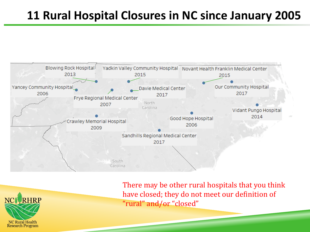### **11 Rural Hospital Closures in NC since January 2005**





There may be other rural hospitals that you think have closed; they do not meet our definition of "rural" and/or "closed"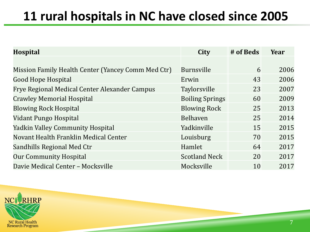## **11 rural hospitals in NC have closed since 2005**

| <b>Hospital</b>                                    | City                   | # of Beds | Year |
|----------------------------------------------------|------------------------|-----------|------|
|                                                    |                        |           |      |
| Mission Family Health Center (Yancey Comm Med Ctr) | Burnsville             | 6         | 2006 |
| <b>Good Hope Hospital</b>                          | Erwin                  | 43        | 2006 |
| Frye Regional Medical Center Alexander Campus      | <b>Taylorsville</b>    | 23        | 2007 |
| <b>Crawley Memorial Hospital</b>                   | <b>Boiling Springs</b> | 60        | 2009 |
| <b>Blowing Rock Hospital</b>                       | <b>Blowing Rock</b>    | 25        | 2013 |
| Vidant Pungo Hospital                              | <b>Belhaven</b>        | 25        | 2014 |
| <b>Yadkin Valley Community Hospital</b>            | Yadkinville            | 15        | 2015 |
| Novant Health Franklin Medical Center              | Louisburg              | 70        | 2015 |
| Sandhills Regional Med Ctr                         | Hamlet                 | 64        | 2017 |
| <b>Our Community Hospital</b>                      | <b>Scotland Neck</b>   | 20        | 2017 |
| Davie Medical Center - Mocksville                  | Mocksville             | 10        | 2017 |

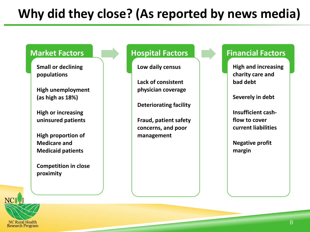# **Why did they close? (As reported by news media)**



NC Rural Health<br>Research Program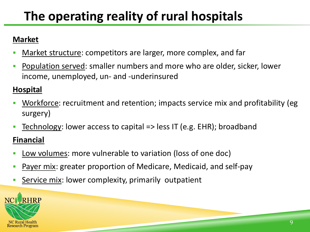# **The operating reality of rural hospitals**

#### **Market**

- Market structure: competitors are larger, more complex, and far
- Population served: smaller numbers and more who are older, sicker, lower income, unemployed, un- and -underinsured

#### **Hospital**

- Workforce: recruitment and retention; impacts service mix and profitability (eg surgery)
- Technology: lower access to capital => less IT (e.g. EHR); broadband

#### **Financial**

- Low volumes: more vulnerable to variation (loss of one doc)
- Payer mix: greater proportion of Medicare, Medicaid, and self-pay
- Service mix: lower complexity, primarily outpatient

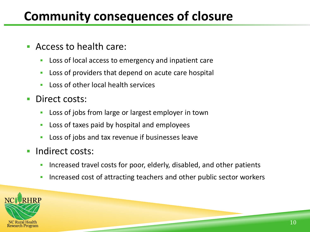## **Community consequences of closure**

- Access to health care:
	- Loss of local access to emergency and inpatient care
	- Loss of providers that depend on acute care hospital
	- Loss of other local health services
- **Direct costs:** 
	- Loss of jobs from large or largest employer in town
	- Loss of taxes paid by hospital and employees
	- **Loss of jobs and tax revenue if businesses leave**
- **Indirect costs:** 
	- Increased travel costs for poor, elderly, disabled, and other patients
	- Increased cost of attracting teachers and other public sector workers

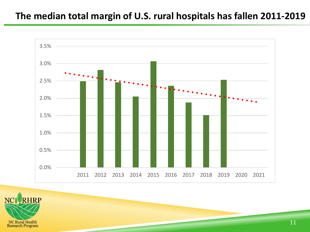#### **The median total margin of U.S. rural hospitals has fallen 2011-2019**



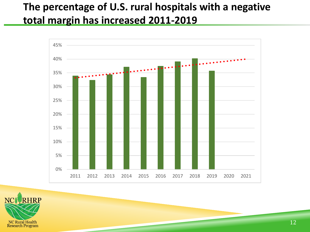#### **The percentage of U.S. rural hospitals with a negative total margin has increased 2011-2019**



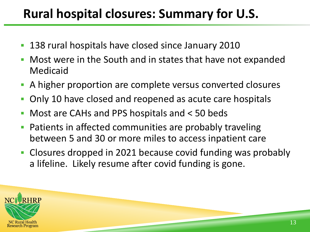### **Rural hospital closures: Summary for U.S.**

- 138 rural hospitals have closed since January 2010
- Most were in the South and in states that have not expanded Medicaid
- A higher proportion are complete versus converted closures
- Only 10 have closed and reopened as acute care hospitals
- Most are CAHs and PPS hospitals and < 50 beds
- **Patients in affected communities are probably traveling** between 5 and 30 or more miles to access inpatient care
- Closures dropped in 2021 because covid funding was probably a lifeline. Likely resume after covid funding is gone.

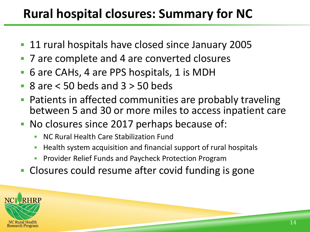## **Rural hospital closures: Summary for NC**

- 11 rural hospitals have closed since January 2005
- 7 are complete and 4 are converted closures
- 6 are CAHs, 4 are PPS hospitals, 1 is MDH
- 8 are < 50 beds and 3 > 50 beds
- Patients in affected communities are probably traveling between 5 and 30 or more miles to access inpatient care
- No closures since 2017 perhaps because of:
	- NC Rural Health Care Stabilization Fund
	- **Health system acquisition and financial support of rural hospitals**
	- Provider Relief Funds and Paycheck Protection Program
- **Closures could resume after covid funding is gone**

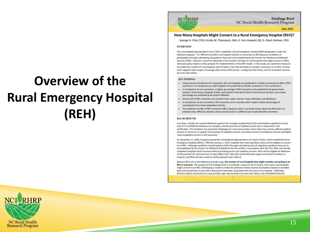# **Overview of the Rural Emergency Hospital (REH)**



**Findings Brief** NC Rural Health Research Program

**July 2021** 

#### How Many Hospitals Might Convert to a Rural Emergency Hospital (REH)?

George H. Pink, PhD; Kristie W. Thompson, MA; H. Ann Howard, BS; G. Mark Holmes, PhD

#### **OVERVIEW**

The Consolidated Appropriations Act of 2021 establishes a Rural Emergency Hospital (REH) designation under the Medicare program. It is difficult to predict rural hospital interest in conversion to REH because conditions of participation through rulemaking and guidance have yet to be established by the Centers for Medicare & Medicaid Services (CMS). However, some first estimates of the number and type of rural hospitals that might convert to REHs will assist policy makers as they prepare for implementation of the REH model. In this study, we used three measures to predict the number of rural hospitals with 50 beds or less that are likely to consider conversion to an REH: 1) three years negative total margin; 2) average daily census (ADC) (acute + swing) less than three; and 3) net patient revenue less than \$20 million.

#### **KEY FINDINGS**

- Using one set of predictors for conversion, 68 rural hospitals are predicted to consider conversion to REHs ("REH converters") in comparison to 1,605 hospitals not predicted to consider conversion ("non-converters").
- In comparison to non-converters, a higher percentage of REH converters are predicted to be governmentowned, Critical Access Hospitals (CAHs), and located in the North West Central Census division, and a lower percentage are predicted to be system-affiliated.
- Almost half of REH converters are located in four states: Kansas, Texas, Nebraska, and Oklahoma.
- In comparison to non-converters, REH converters are in counties with a higher median percentage of unemployed and a lower population density.
- The predicted number of REH converters (68) is based on what is currently known about the REH and is an estimate only: different selection criteria would result in a different set of potential REH converters.

#### **BACKGROUND**

Currently, a facility can receive Medicare payment for emergency department (ED) and hospital outpatient services only if it is certified by Medicare as a hospital, and the provision of inpatient acute care is required for such certification. This limitation has presented challenges for rural communities where there may not be sufficient patient volume or resources to support the provision of inpatient services, but where access to emergency services and higher -level outpatient services is still necessary.

On December 21, 2020, Congress passed the Consolidated Appropriations Act (CAA) of 2021, which established Rural Emergency Hospitals (REHs). Effective January 1, 2023, hospitals that meet specified criteria will be eligible to convert to an REH. Although conditions of participation (CoPs) through rulemaking and sub-regulatory guidance have yet to be established by the Centers for Medicare & Medicaid Services (CMS), in accordance with the CAA, REHs will provide outpatient hospital and ED services without providing acute care inpatient services. REHs will be eligible for Medicare reimbursement for some services at rates higher than rates that would otherwise apply to services furnished in a hospital, and REHs will also receive a facility payment (see Table 1).

Because REHs are a new Medicare provider type, the number of rural hospitals that might consider converting to an REH is unknown. The purpose of this findings brief is to estimate, using one set of criteria, how many rural hospitals might convert to an REH. Developing a model to make this estimate involves several assumptions based on available data and comparisons to see which data points have been associated with the closure of a hospital. Ultimately, decisions about conversion to a new provider type may be driven by more than data or the immediate financial

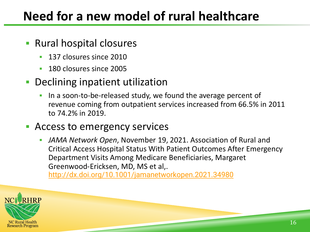### **Need for a new model of rural healthcare**

- **Rural hospital closures** 
	- **137 closures since 2010**
	- **180 closures since 2005**

#### **Declining inpatient utilization**

In a soon-to-be-released study, we found the average percent of revenue coming from outpatient services increased from 66.5% in 2011 to 74.2% in 2019.

#### Access to emergency services

 *JAMA Network Open*, November 19, 2021. Association of Rural and Critical Access Hospital Status With Patient Outcomes After Emergency Department Visits Among Medicare Beneficiaries, Margaret Greenwood-Ericksen, MD, MS et al,.

<http://dx.doi.org/10.1001/jamanetworkopen.2021.34980>

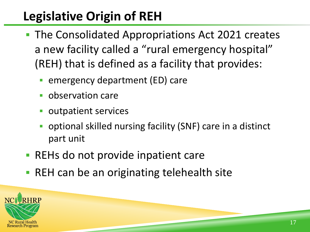# **Legislative Origin of REH**

- The Consolidated Appropriations Act 2021 creates a new facility called a "rural emergency hospital" (REH) that is defined as a facility that provides:
	- emergency department (ED) care
	- **observation care**
	- outpatient services
	- optional skilled nursing facility (SNF) care in a distinct part unit
- REHs do not provide inpatient care
- **REH can be an originating telehealth site**

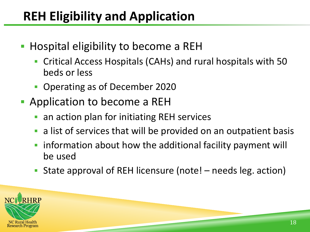## **REH Eligibility and Application**

- Hospital eligibility to become a REH
	- Critical Access Hospitals (CAHs) and rural hospitals with 50 beds or less
	- Operating as of December 2020
- **Application to become a REH** 
	- an action plan for initiating REH services
	- a list of services that will be provided on an outpatient basis
	- **F** information about how the additional facility payment will be used
	- State approval of REH licensure (note! needs leg. action)

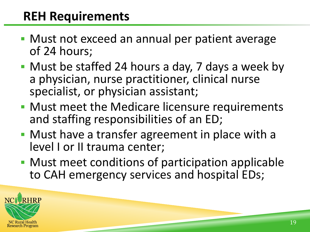### **REH Requirements**

- **Must not exceed an annual per patient average** of 24 hours;
- Must be staffed 24 hours a day, 7 days a week by a physician, nurse practitioner, clinical nurse specialist, or physician assistant;
- Must meet the Medicare licensure requirements and staffing responsibilities of an ED;
- Must have a transfer agreement in place with a level I or II trauma center;
- **Must meet conditions of participation applicable** to CAH emergency services and hospital EDs;

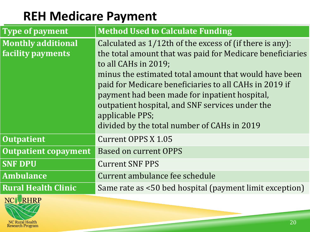### **REH Medicare Payment**

| <b>Type of payment</b>                         | <b>Method Used to Calculate Funding</b>                                                                                                                                                                                                                                                                                                                                                                                                |
|------------------------------------------------|----------------------------------------------------------------------------------------------------------------------------------------------------------------------------------------------------------------------------------------------------------------------------------------------------------------------------------------------------------------------------------------------------------------------------------------|
| <b>Monthly additional</b><br>facility payments | Calculated as 1/12th of the excess of (if there is any):<br>the total amount that was paid for Medicare beneficiaries<br>to all CAHs in 2019;<br>minus the estimated total amount that would have been<br>paid for Medicare beneficiaries to all CAHs in 2019 if<br>payment had been made for inpatient hospital,<br>outpatient hospital, and SNF services under the<br>applicable PPS;<br>divided by the total number of CAHs in 2019 |
| <b>Outpatient</b>                              | Current OPPS X 1.05                                                                                                                                                                                                                                                                                                                                                                                                                    |
| <b>Outpatient copayment</b>                    | <b>Based on current OPPS</b>                                                                                                                                                                                                                                                                                                                                                                                                           |
| <b>SNF DPU</b>                                 | <b>Current SNF PPS</b>                                                                                                                                                                                                                                                                                                                                                                                                                 |
| <b>Ambulance</b>                               | Current ambulance fee schedule                                                                                                                                                                                                                                                                                                                                                                                                         |
| <b>Rural Health Clinic</b>                     | Same rate as <50 bed hospital (payment limit exception)                                                                                                                                                                                                                                                                                                                                                                                |

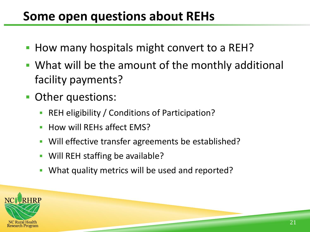### **Some open questions about REHs**

- How many hospitals might convert to a REH?
- What will be the amount of the monthly additional facility payments?
- **Other questions:** 
	- **REH eligibility / Conditions of Participation?**
	- **How will REHs affect EMS?**
	- **Will effective transfer agreements be established?**
	- **Will REH staffing be available?**
	- What quality metrics will be used and reported?

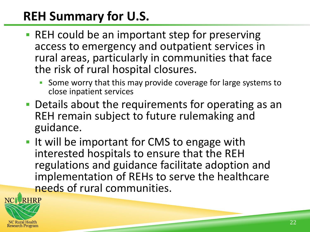## **REH Summary for U.S.**

- REH could be an important step for preserving access to emergency and outpatient services in rural areas, particularly in communities that face the risk of rural hospital closures.
	- Some worry that this may provide coverage for large systems to close inpatient services
- Details about the requirements for operating as an REH remain subject to future rulemaking and guidance.
- I It will be important for CMS to engage with interested hospitals to ensure that the REH regulations and guidance facilitate adoption and implementation of REHs to serve the healthcare needs of rural communities.

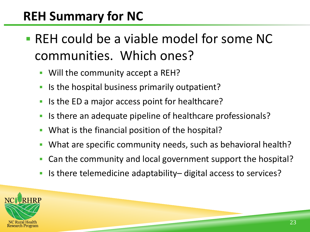## **REH Summary for NC**

- REH could be a viable model for some NC communities. Which ones?
	- **Will the community accept a REH?**
	- **If** Is the hospital business primarily outpatient?
	- If Is the ED a major access point for healthcare?
	- If Is there an adequate pipeline of healthcare professionals?
	- **What is the financial position of the hospital?**
	- What are specific community needs, such as behavioral health?
	- Can the community and local government support the hospital?
	- Is there telemedicine adaptability– digital access to services?

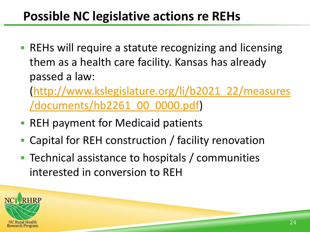### **Possible NC legislative actions re REHs**

**• REHs will require a statute recognizing and licensing** them as a health care facility. Kansas has already passed a law:

[\(http://www.kslegislature.org/li/b2021\\_22/measures](http://www.kslegislature.org/li/b2021_22/measures/documents/hb2261_00_0000.pdf) /documents/hb2261\_00\_0000.pdf)

- REH payment for Medicaid patients
- Capital for REH construction / facility renovation
- Technical assistance to hospitals / communities interested in conversion to REH

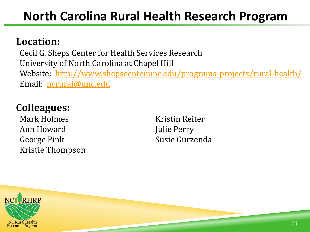### **North Carolina Rural Health Research Program**

#### **Location:**

Cecil G. Sheps Center for Health Services Research University of North Carolina at Chapel Hill Website: <http://www.shepscenter.unc.edu/programs-projects/rural-health/> Email: [ncrural@unc.edu](mailto:ncrural@unc.edu)

#### **Colleagues:**

Mark Holmes Kristin Reiter Ann Howard Julie Perry George Pink Susie Gurzenda Kristie Thompson

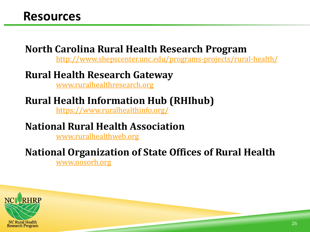#### **North Carolina Rural Health Research Program**

<http://www.shepscenter.unc.edu/programs-projects/rural-health/>

#### **Rural Health Research Gateway**

[www.ruralhealthresearch.org](http://www.ruralhealthresearch.org/)

#### **Rural Health Information Hub (RHIhub)**

<https://www.ruralhealthinfo.org/>

#### **National Rural Health Association**

[www.ruralhealthweb.org](http://www.ruralhealthweb.org/)

#### **National Organization of State Offices of Rural Health**

[www.nosorh.org](http://www.nosorh.org/)

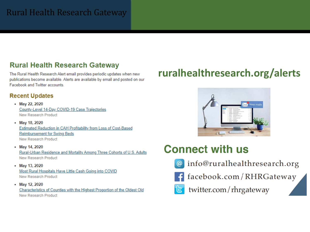#### Rural Health Research Gateway

#### **Rural Health Research Gateway**

The Rural Health Research Alert email provides periodic updates when new publications become available. Alerts are available by email and posted on our Facebook and Twitter accounts.

#### **Recent Updates**

- May 22, 2020 County-Level 14-Day COVID-19 Case Trajectories **New Research Product**
- May 18, 2020 Estimated Reduction in CAH Profitability from Loss of Cost-Based **Reimbursement for Swing Beds New Research Product**
- May 14, 2020 Rural-Urban Residence and Mortality Among Three Cohorts of U.S. Adults **New Research Product**
- May 13, 2020 Most Rural Hospitals Have Little Cash Going into COVID **New Research Product**
- May 12, 2020

Characteristics of Counties with the Highest Proportion of the Oldest Old **New Research Product** 

#### **ruralhealthresearch.org/alerts**



#### **Connect with us**



@ info@ruralhealthresearch.org



facebook.com/RHRGateway



twitter.com/rhrgateway